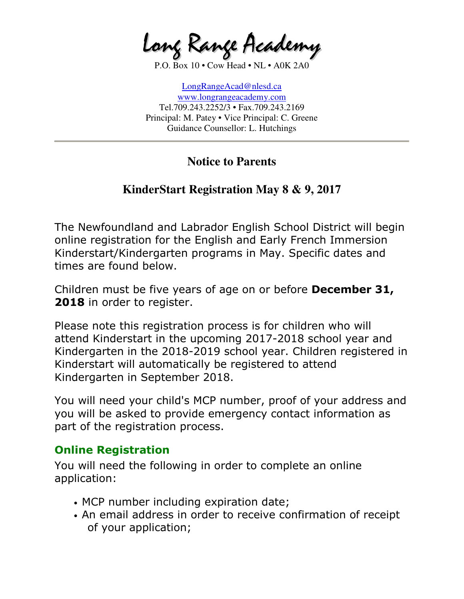Long Range Academy

P.O. Box 10 • Cow Head • NL • A0K 2A0

LongRangeAcad@nlesd.ca www.longrangeacademy.com Tel.709.243.2252/3 • Fax.709.243.2169 Principal: M. Patey • Vice Principal: C. Greene Guidance Counsellor: L. Hutchings

## **Notice to Parents**

## **KinderStart Registration May 8 & 9, 2017**

The Newfoundland and Labrador English School District will begin online registration for the English and Early French Immersion Kinderstart/Kindergarten programs in May. Specific dates and times are found below.

Children must be five years of age on or before December 31, 2018 in order to register.

Please note this registration process is for children who will attend Kinderstart in the upcoming 2017-2018 school year and Kindergarten in the 2018-2019 school year. Children registered in Kinderstart will automatically be registered to attend Kindergarten in September 2018.

You will need your child's MCP number, proof of your address and you will be asked to provide emergency contact information as part of the registration process.

## Online Registration

You will need the following in order to complete an online application:

- MCP number including expiration date;
- An email address in order to receive confirmation of receipt of your application;